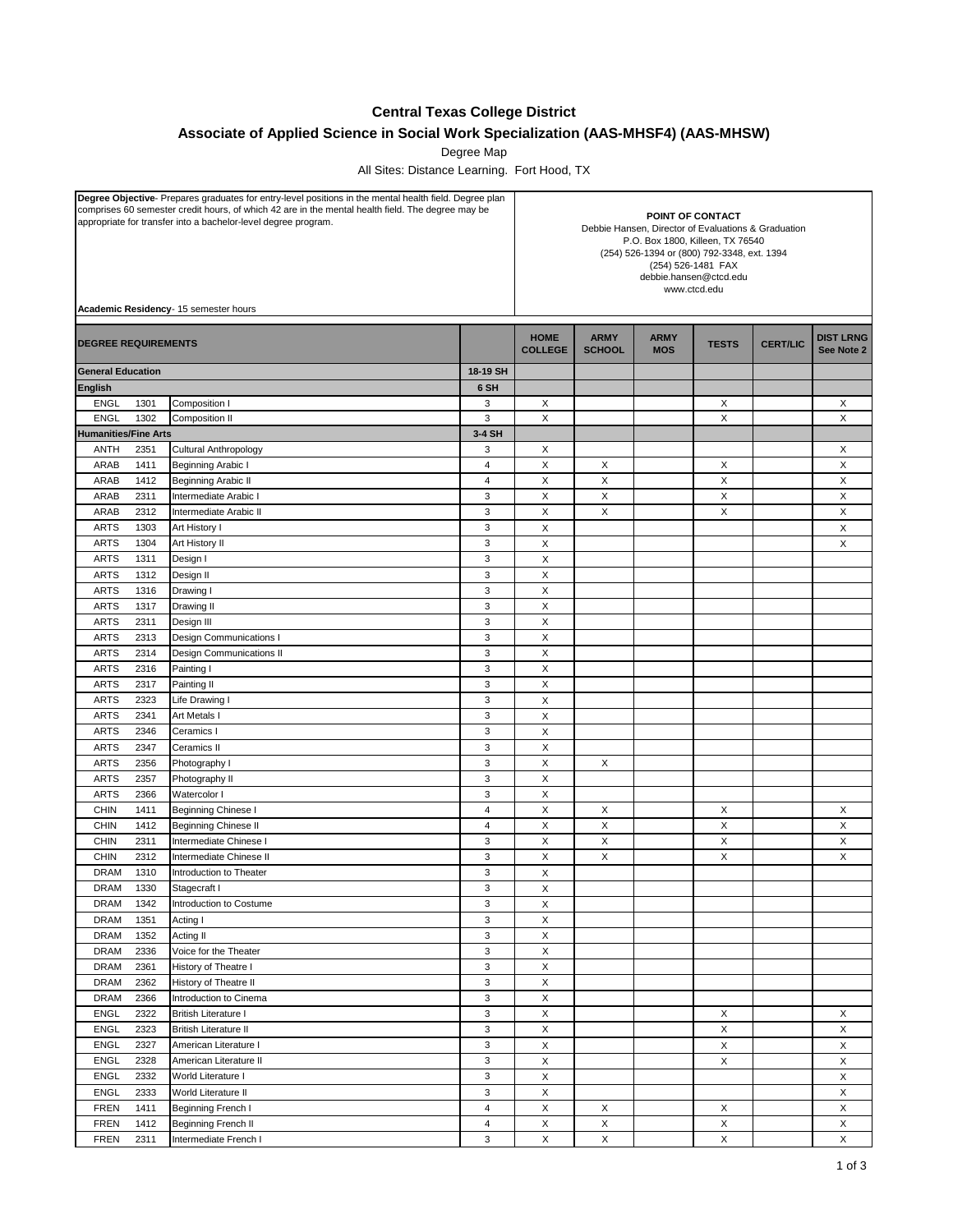## **Central Texas College District**

**Associate of Applied Science in Social Work Specialization (AAS-MHSF4) (AAS-MHSW)**

Degree Map

All Sites: Distance Learning. Fort Hood, TX

| Degree Objective- Prepares graduates for entry-level positions in the mental health field. Degree plan<br>comprises 60 semester credit hours, of which 42 are in the mental health field. The degree may be<br>appropriate for transfer into a bachelor-level degree program. |                                       |                              | POINT OF CONTACT<br>Debbie Hansen, Director of Evaluations & Graduation<br>P.O. Box 1800, Killeen, TX 76540<br>(254) 526-1394 or (800) 792-3348, ext. 1394<br>(254) 526-1481 FAX<br>debbie.hansen@ctcd.edu<br>www.ctcd.edu |                               |                              |                           |              |                 |                                |
|-------------------------------------------------------------------------------------------------------------------------------------------------------------------------------------------------------------------------------------------------------------------------------|---------------------------------------|------------------------------|----------------------------------------------------------------------------------------------------------------------------------------------------------------------------------------------------------------------------|-------------------------------|------------------------------|---------------------------|--------------|-----------------|--------------------------------|
|                                                                                                                                                                                                                                                                               | Academic Residency- 15 semester hours |                              |                                                                                                                                                                                                                            |                               |                              |                           |              |                 |                                |
| <b>DEGREE REQUIREMENTS</b>                                                                                                                                                                                                                                                    |                                       |                              |                                                                                                                                                                                                                            | <b>HOME</b><br><b>COLLEGE</b> | <b>ARMY</b><br><b>SCHOOL</b> | <b>ARMY</b><br><b>MOS</b> | <b>TESTS</b> | <b>CERT/LIC</b> | <b>DIST LRNG</b><br>See Note 2 |
| <b>General Education</b>                                                                                                                                                                                                                                                      |                                       |                              | 18-19 SH                                                                                                                                                                                                                   |                               |                              |                           |              |                 |                                |
| <b>English</b>                                                                                                                                                                                                                                                                |                                       |                              | 6 SH                                                                                                                                                                                                                       |                               |                              |                           |              |                 |                                |
| <b>ENGL</b>                                                                                                                                                                                                                                                                   | 1301                                  | Composition I                | 3                                                                                                                                                                                                                          | X                             |                              |                           | X            |                 | Х                              |
| <b>ENGL</b>                                                                                                                                                                                                                                                                   | 1302                                  | <b>Composition II</b>        | 3                                                                                                                                                                                                                          | X                             |                              |                           | X            |                 | X                              |
| <b>Humanities/Fine Arts</b>                                                                                                                                                                                                                                                   |                                       |                              | 3-4 SH                                                                                                                                                                                                                     |                               |                              |                           |              |                 |                                |
| <b>ANTH</b>                                                                                                                                                                                                                                                                   | 2351                                  | <b>Cultural Anthropology</b> | 3                                                                                                                                                                                                                          | X                             |                              |                           |              |                 | X                              |
| ARAB                                                                                                                                                                                                                                                                          | 1411                                  | Beginning Arabic I           | $\overline{4}$                                                                                                                                                                                                             | X                             | X                            |                           | X            |                 | X                              |
| ARAB                                                                                                                                                                                                                                                                          | 1412                                  | <b>Beginning Arabic II</b>   | $\overline{4}$                                                                                                                                                                                                             | X                             | X                            |                           | X            |                 | X                              |
| ARAB                                                                                                                                                                                                                                                                          | 2311                                  | Intermediate Arabic I        | 3                                                                                                                                                                                                                          | X                             | $\pmb{\times}$               |                           | $\mathsf X$  |                 | X                              |
| ARAB                                                                                                                                                                                                                                                                          | 2312                                  | Intermediate Arabic II       | $\sqrt{3}$                                                                                                                                                                                                                 | Χ                             | X                            |                           | X            |                 | х                              |
| <b>ARTS</b>                                                                                                                                                                                                                                                                   | 1303                                  | Art History I                | 3                                                                                                                                                                                                                          | X                             |                              |                           |              |                 | X                              |
| <b>ARTS</b>                                                                                                                                                                                                                                                                   | 1304                                  | Art History II               | $\sqrt{3}$                                                                                                                                                                                                                 | X                             |                              |                           |              |                 | X                              |
| <b>ARTS</b>                                                                                                                                                                                                                                                                   | 1311                                  | Design I                     | $\mathsf 3$                                                                                                                                                                                                                | X                             |                              |                           |              |                 |                                |
| <b>ARTS</b>                                                                                                                                                                                                                                                                   | 1312                                  | Design II                    | 3                                                                                                                                                                                                                          | X                             |                              |                           |              |                 |                                |
| <b>ARTS</b>                                                                                                                                                                                                                                                                   | 1316                                  | Drawing I                    | $\sqrt{3}$                                                                                                                                                                                                                 | X                             |                              |                           |              |                 |                                |
| <b>ARTS</b><br><b>ARTS</b>                                                                                                                                                                                                                                                    | 1317<br>2311                          | Drawing II<br>Design III     | $\mathsf 3$<br>3                                                                                                                                                                                                           | X<br>X                        |                              |                           |              |                 |                                |
| <b>ARTS</b>                                                                                                                                                                                                                                                                   | 2313                                  | Design Communications I      | 3                                                                                                                                                                                                                          | X                             |                              |                           |              |                 |                                |
| <b>ARTS</b>                                                                                                                                                                                                                                                                   | 2314                                  | Design Communications II     | 3                                                                                                                                                                                                                          |                               |                              |                           |              |                 |                                |
| <b>ARTS</b>                                                                                                                                                                                                                                                                   | 2316                                  | Painting I                   | 3                                                                                                                                                                                                                          | X<br>X                        |                              |                           |              |                 |                                |
| <b>ARTS</b>                                                                                                                                                                                                                                                                   | 2317                                  | Painting II                  | 3                                                                                                                                                                                                                          | X                             |                              |                           |              |                 |                                |
| <b>ARTS</b>                                                                                                                                                                                                                                                                   | 2323                                  | Life Drawing I               | 3                                                                                                                                                                                                                          | X                             |                              |                           |              |                 |                                |
| <b>ARTS</b>                                                                                                                                                                                                                                                                   | 2341                                  | Art Metals I                 | 3                                                                                                                                                                                                                          | X                             |                              |                           |              |                 |                                |
| <b>ARTS</b>                                                                                                                                                                                                                                                                   | 2346                                  | Ceramics I                   | $\mathsf 3$                                                                                                                                                                                                                | X                             |                              |                           |              |                 |                                |
| <b>ARTS</b>                                                                                                                                                                                                                                                                   | 2347                                  | Ceramics II                  | 3                                                                                                                                                                                                                          | X                             |                              |                           |              |                 |                                |
| <b>ARTS</b>                                                                                                                                                                                                                                                                   | 2356                                  | Photography I                | 3                                                                                                                                                                                                                          | X                             | X                            |                           |              |                 |                                |
| <b>ARTS</b>                                                                                                                                                                                                                                                                   | 2357                                  | Photography II               | 3                                                                                                                                                                                                                          | X                             |                              |                           |              |                 |                                |
| <b>ARTS</b>                                                                                                                                                                                                                                                                   | 2366                                  | Watercolor I                 | 3                                                                                                                                                                                                                          | X                             |                              |                           |              |                 |                                |
| <b>CHIN</b>                                                                                                                                                                                                                                                                   | 1411                                  | Beginning Chinese I          | $\overline{4}$                                                                                                                                                                                                             | X                             | X                            |                           | X            |                 | X                              |
| <b>CHIN</b>                                                                                                                                                                                                                                                                   | 1412                                  | Beginning Chinese II         | $\overline{4}$                                                                                                                                                                                                             | X                             | X                            |                           | X            |                 | X                              |
| <b>CHIN</b>                                                                                                                                                                                                                                                                   | 2311                                  | Intermediate Chinese I       | 3                                                                                                                                                                                                                          | X                             | Χ                            |                           | X            |                 | X                              |
| <b>CHIN</b>                                                                                                                                                                                                                                                                   | 2312                                  | Intermediate Chinese II      | $\sqrt{3}$                                                                                                                                                                                                                 | X                             | Χ                            |                           | X            |                 | X                              |
| <b>DRAM</b>                                                                                                                                                                                                                                                                   | 1310                                  | Introduction to Theater      | 3                                                                                                                                                                                                                          | X                             |                              |                           |              |                 |                                |
| DRAM                                                                                                                                                                                                                                                                          | 1330                                  | Stagecraft I                 | $\ensuremath{\mathsf{3}}$                                                                                                                                                                                                  | X                             |                              |                           |              |                 |                                |
| <b>DRAM</b>                                                                                                                                                                                                                                                                   | 1342                                  | Introduction to Costume      | $\sqrt{3}$                                                                                                                                                                                                                 | X                             |                              |                           |              |                 |                                |
| <b>DRAM</b>                                                                                                                                                                                                                                                                   | 1351                                  | Acting I                     | 3                                                                                                                                                                                                                          | X                             |                              |                           |              |                 |                                |
| <b>DRAM</b>                                                                                                                                                                                                                                                                   | 1352                                  | Acting II                    | $\mathsf 3$                                                                                                                                                                                                                | X                             |                              |                           |              |                 |                                |
| <b>DRAM</b>                                                                                                                                                                                                                                                                   | 2336                                  | Voice for the Theater        | $\mathsf 3$                                                                                                                                                                                                                | X                             |                              |                           |              |                 |                                |
| <b>DRAM</b>                                                                                                                                                                                                                                                                   | 2361                                  | History of Theatre I         | $\mathsf 3$                                                                                                                                                                                                                | X                             |                              |                           |              |                 |                                |
| <b>DRAM</b>                                                                                                                                                                                                                                                                   | 2362                                  | History of Theatre II        | $\mathsf 3$                                                                                                                                                                                                                | X                             |                              |                           |              |                 |                                |
| <b>DRAM</b>                                                                                                                                                                                                                                                                   | 2366                                  | Introduction to Cinema       | $\mathsf 3$                                                                                                                                                                                                                | X                             |                              |                           |              |                 |                                |
| ENGL                                                                                                                                                                                                                                                                          | 2322                                  | <b>British Literature I</b>  | $\sqrt{3}$                                                                                                                                                                                                                 | X                             |                              |                           | X            |                 | X                              |
| ENGL                                                                                                                                                                                                                                                                          | 2323                                  | <b>British Literature II</b> | $\mathsf 3$                                                                                                                                                                                                                | X                             |                              |                           | $\mathsf X$  |                 | Χ                              |
| <b>ENGL</b>                                                                                                                                                                                                                                                                   | 2327                                  | American Literature I        | $\mathsf 3$                                                                                                                                                                                                                | X                             |                              |                           | X            |                 | X                              |
| ENGL                                                                                                                                                                                                                                                                          | 2328                                  | American Literature II       | $\sqrt{3}$                                                                                                                                                                                                                 | X                             |                              |                           | X            |                 | $\mathsf X$                    |
| <b>ENGL</b>                                                                                                                                                                                                                                                                   | 2332                                  | World Literature I           | $\sqrt{3}$                                                                                                                                                                                                                 | Χ                             |                              |                           |              |                 | X                              |
| <b>ENGL</b>                                                                                                                                                                                                                                                                   | 2333                                  | World Literature II          | $\mathsf 3$                                                                                                                                                                                                                | Χ                             |                              |                           |              |                 | Χ                              |
| <b>FREN</b>                                                                                                                                                                                                                                                                   | 1411                                  | Beginning French I           | $\overline{4}$                                                                                                                                                                                                             | X                             | X                            |                           | X            |                 | X                              |
| <b>FREN</b>                                                                                                                                                                                                                                                                   | 1412                                  | Beginning French II          | $\overline{4}$                                                                                                                                                                                                             | X                             | Χ                            |                           | X            |                 | X                              |
| <b>FREN</b>                                                                                                                                                                                                                                                                   | 2311                                  | Intermediate French I        | $\mathsf 3$                                                                                                                                                                                                                | X                             | X                            |                           | $\mathsf X$  |                 | $\mathsf X$                    |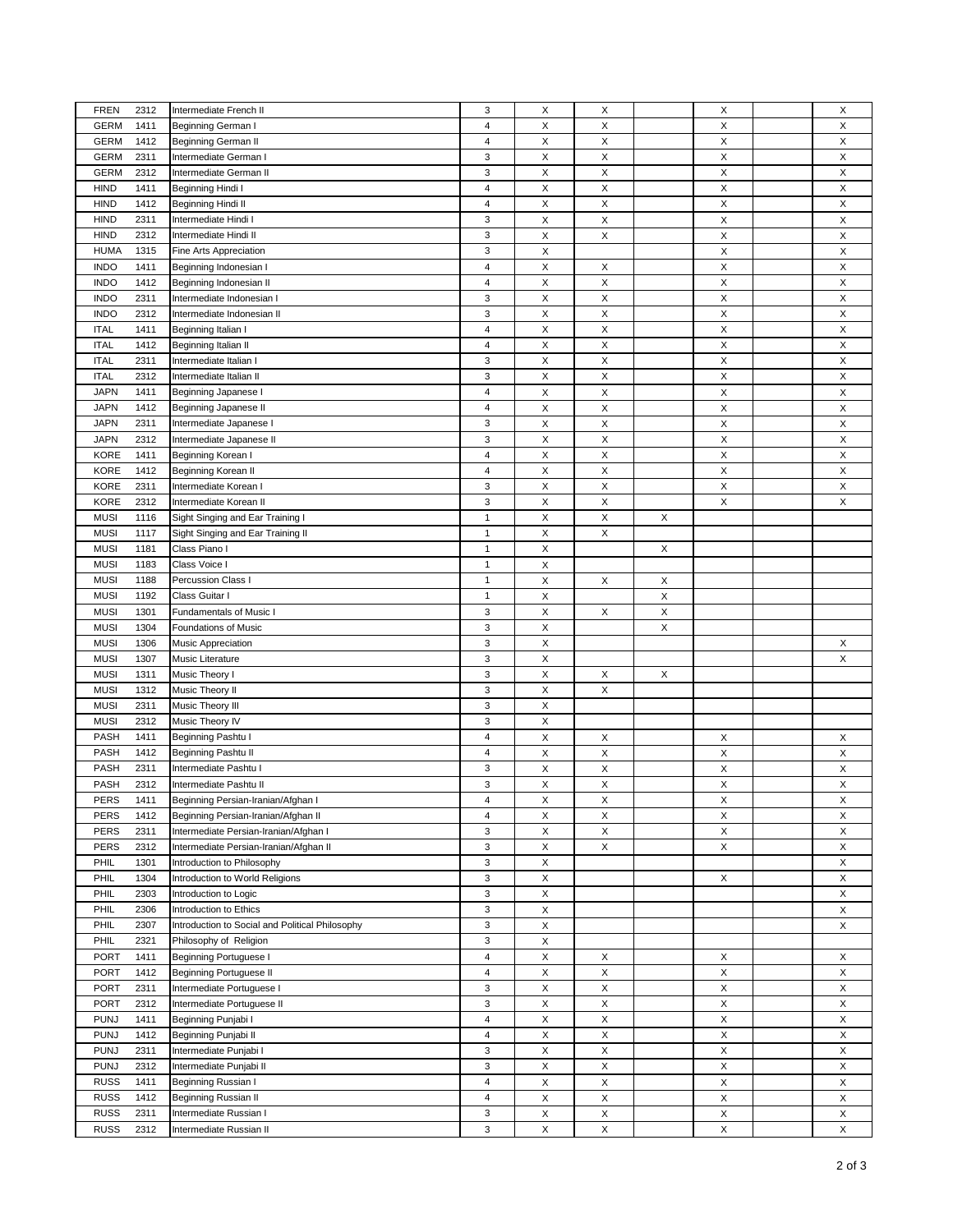| <b>FREN</b> | 2312 | Intermediate French II                          | 3              | X           | X                         |   | X            | X |
|-------------|------|-------------------------------------------------|----------------|-------------|---------------------------|---|--------------|---|
| <b>GERM</b> | 1411 | Beginning German I                              | $\overline{4}$ | X           | X                         |   | X            | X |
| <b>GERM</b> | 1412 | Beginning German II                             | $\overline{4}$ | X           | $\boldsymbol{\mathsf{X}}$ |   | X            | Χ |
| <b>GERM</b> | 2311 | Intermediate German I                           | 3              | X           | Χ                         |   | X            | Χ |
| <b>GERM</b> | 2312 | Intermediate German II                          | 3              | X           | X                         |   | X            | X |
| <b>HIND</b> | 1411 | Beginning Hindi I                               | 4              | X           | X                         |   | X            | X |
| <b>HIND</b> | 1412 | Beginning Hindi II                              | 4              | X           | Χ                         |   | X            | X |
| <b>HIND</b> | 2311 | Intermediate Hindi I                            | 3              | X           | X                         |   | X            | X |
| <b>HIND</b> | 2312 | Intermediate Hindi II                           | 3              | $\mathsf X$ | $\pmb{\times}$            |   | $\mathsf X$  | X |
| <b>HUMA</b> |      |                                                 | 3              | X           |                           |   | X            | X |
|             | 1315 | Fine Arts Appreciation                          |                |             |                           |   |              |   |
| <b>INDO</b> | 1411 | Beginning Indonesian I                          | $\overline{4}$ | X           | X                         |   | X            | Χ |
| <b>INDO</b> | 1412 | Beginning Indonesian II                         | 4              | X           | $\mathsf{X}$              |   | $\mathsf{X}$ | X |
| <b>INDO</b> | 2311 | Intermediate Indonesian I                       | 3              | X           | X                         |   | X            | X |
| <b>INDO</b> | 2312 | Intermediate Indonesian II                      | 3              | X           | $\boldsymbol{\mathsf{X}}$ |   | X            | X |
| <b>ITAL</b> | 1411 | Beginning Italian I                             | 4              | X           | X                         |   | X            | X |
| <b>ITAL</b> | 1412 | Beginning Italian II                            | $\overline{4}$ | X           | $\mathsf X$               |   | X            | Χ |
| <b>ITAL</b> | 2311 | Intermediate Italian I                          | 3              | X           | X                         |   | X            | X |
| <b>ITAL</b> | 2312 | Intermediate Italian II                         | 3              | X           | X                         |   | X            | X |
| <b>JAPN</b> | 1411 | Beginning Japanese I                            | $\overline{4}$ | X           | X                         |   | X            | Χ |
| <b>JAPN</b> | 1412 | Beginning Japanese II                           | 4              | X           | X                         |   | X            | X |
| <b>JAPN</b> | 2311 | Intermediate Japanese I                         | 3              | X           | X                         |   | X            | Χ |
| <b>JAPN</b> | 2312 | Intermediate Japanese II                        | 3              | X           | X                         |   | X            | Χ |
| <b>KORE</b> | 1411 | Beginning Korean I                              | 4              | X           | X                         |   | X            | Χ |
| <b>KORE</b> | 1412 | Beginning Korean II                             | 4              | X           | X                         |   | X            | X |
| <b>KORE</b> | 2311 | Intermediate Korean I                           | 3              | X           | X                         |   | X            | Χ |
| <b>KORE</b> | 2312 | Intermediate Korean II                          | 3              | X           | X                         |   | X            | X |
| <b>MUSI</b> | 1116 | Sight Singing and Ear Training I                | $\mathbf{1}$   | X           | $\mathsf X$               | X |              |   |
| <b>MUSI</b> | 1117 | Sight Singing and Ear Training II               | $\mathbf{1}$   | X           | $\boldsymbol{\mathsf{X}}$ |   |              |   |
|             |      | Class Piano I                                   |                |             |                           |   |              |   |
| <b>MUSI</b> | 1181 |                                                 | 1              | X           |                           | Х |              |   |
| <b>MUSI</b> | 1183 | Class Voice I                                   | $\mathbf{1}$   | X           |                           |   |              |   |
| <b>MUSI</b> | 1188 | Percussion Class I                              | $\mathbf{1}$   | X           | X                         | Х |              |   |
| <b>MUSI</b> | 1192 | Class Guitar I                                  | $\mathbf{1}$   | X           |                           | X |              |   |
| <b>MUSI</b> | 1301 | Fundamentals of Music I                         | 3              | X           | X                         | X |              |   |
| <b>MUSI</b> | 1304 | Foundations of Music                            | 3              | X           |                           | X |              |   |
| <b>MUSI</b> | 1306 | <b>Music Appreciation</b>                       | 3              | X           |                           |   |              | X |
| <b>MUSI</b> | 1307 | Music Literature                                | 3              | X           |                           |   |              | X |
| <b>MUSI</b> | 1311 | Music Theory I                                  | 3              | X           | X                         | Χ |              |   |
| <b>MUSI</b> | 1312 | Music Theory II                                 | 3              | X           | X                         |   |              |   |
| <b>MUSI</b> | 2311 | Music Theory III                                | 3              | X           |                           |   |              |   |
| <b>MUSI</b> | 2312 | Music Theory IV                                 | 3              | X           |                           |   |              |   |
| PASH        | 1411 | Beginning Pashtu I                              | $\overline{4}$ | X           | X                         |   | X            | X |
| PASH        | 1412 | Beginning Pashtu II                             | 4              | X           | X                         |   | X            | X |
| PASH        | 2311 | Intermediate Pashtu I                           | 3              | X           | X                         |   | X            | X |
| PASH        | 2312 | Intermediate Pashtu II                          | 3              | X           | X                         |   | X            | X |
| PERS        | 1411 | Beginning Persian-Iranian/Afghan I              | 4              | X           | Х                         |   | X            | X |
| <b>PERS</b> | 1412 | Beginning Persian-Iranian/Afghan II             | $\overline{4}$ | X           | X                         |   | X            | X |
| <b>PERS</b> | 2311 | Intermediate Persian-Iranian/Afghan I           | 3              | X           | Χ                         |   | X            | X |
| PERS        | 2312 | Intermediate Persian-Iranian/Afghan II          | 3              | X           | X                         |   | X            | X |
| PHIL        | 1301 | Introduction to Philosophy                      | 3              | X           |                           |   |              | X |
|             |      |                                                 | 3              |             |                           |   |              |   |
| PHIL        | 1304 | Introduction to World Religions                 |                | X           |                           |   | X            | X |
| PHIL        | 2303 | Introduction to Logic                           | 3              | $\mathsf X$ |                           |   |              | X |
| PHIL        | 2306 | Introduction to Ethics                          | 3              | X           |                           |   |              | X |
| PHIL        | 2307 | Introduction to Social and Political Philosophy | 3              | X           |                           |   |              | X |
| PHIL        | 2321 | Philosophy of Religion                          | 3              | $\mathsf X$ |                           |   |              |   |
| PORT        | 1411 | <b>Beginning Portuguese I</b>                   | $\overline{4}$ | X           | X                         |   | X            | X |
| <b>PORT</b> | 1412 | Beginning Portuguese II                         | 4              | $\mathsf X$ | $\mathsf X$               |   | $\mathsf X$  | X |
| <b>PORT</b> | 2311 | Intermediate Portuguese I                       | 3              | $\mathsf X$ | X                         |   | $\mathsf X$  | X |
| <b>PORT</b> | 2312 | Intermediate Portuguese II                      | 3              | X           | X                         |   | X            | X |
| <b>PUNJ</b> | 1411 | Beginning Punjabi I                             | 4              | X           | X                         |   | $\mathsf X$  | X |
| <b>PUNJ</b> | 1412 | Beginning Punjabi II                            | 4              | X           | X                         |   | X            | X |
| <b>PUNJ</b> | 2311 | Intermediate Punjabi I                          | 3              | X           | X                         |   | $\mathsf X$  | X |
| <b>PUNJ</b> | 2312 | Intermediate Punjabi II                         | 3              | X           | X                         |   | $\mathsf X$  | X |
| <b>RUSS</b> | 1411 | Beginning Russian I                             | $\overline{4}$ | $\mathsf X$ | $\mathsf X$               |   | X            | X |
| <b>RUSS</b> | 1412 | Beginning Russian II                            | 4              | X           | X                         |   | X            | X |
| <b>RUSS</b> | 2311 | Intermediate Russian I                          | 3              | X           | $\mathsf X$               |   | $\mathsf X$  | X |
| <b>RUSS</b> | 2312 | Intermediate Russian II                         | 3              | X           | X                         |   | $\mathsf X$  | X |
|             |      |                                                 |                |             |                           |   |              |   |